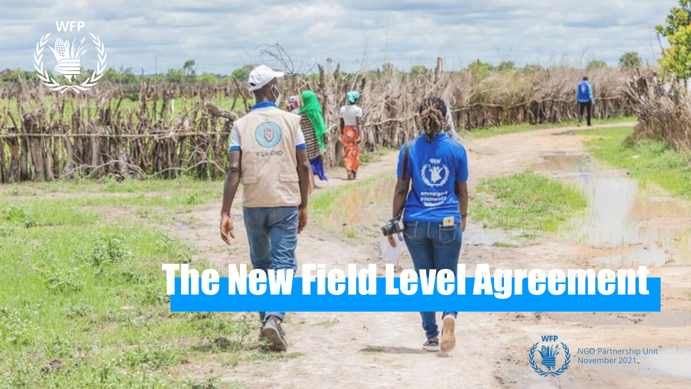# The New Field Level Agreement

**LASONO** 



NGO Partnership Unit November 2021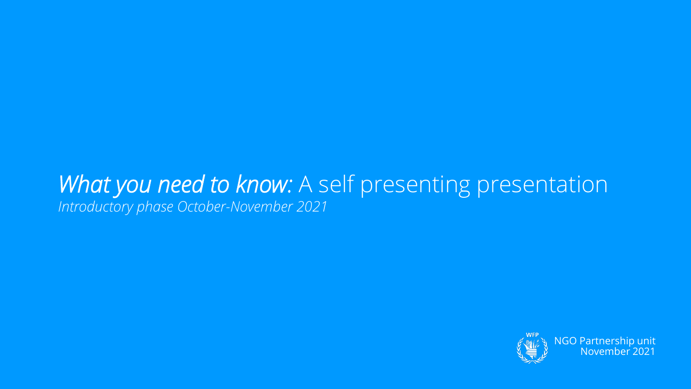### What you need to know: A self presenting presentation *Introductory phase October-November 2021*

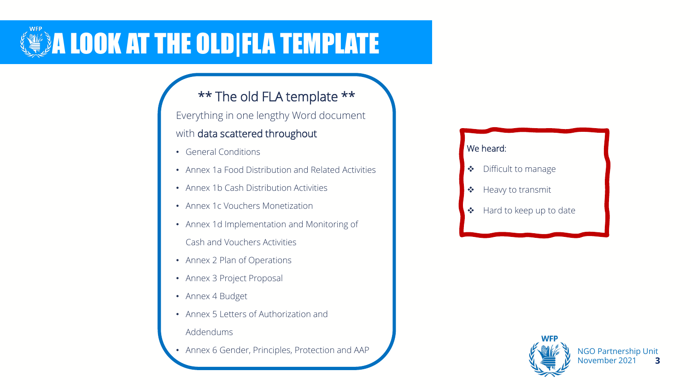

#### \*\* The old FLA template \*\*

Everything in one lengthy Word document with data scattered throughout

- General Conditions
- Annex 1a Food Distribution and Related Activities
- Annex 1b Cash Distribution Activities
- Annex 1c Vouchers Monetization
- Annex 1d Implementation and Monitoring of Cash and Vouchers Activities
- Annex 2 Plan of Operations
- Annex 3 Project Proposal
- Annex 4 Budget
- Annex 5 Letters of Authorization and
	- Addendums
- Annex 6 Gender, Principles, Protection and AAP

#### We heard:

- ❖ Difficult to manage
- ❖ Heavy to transmit
- ❖ Hard to keep up to date

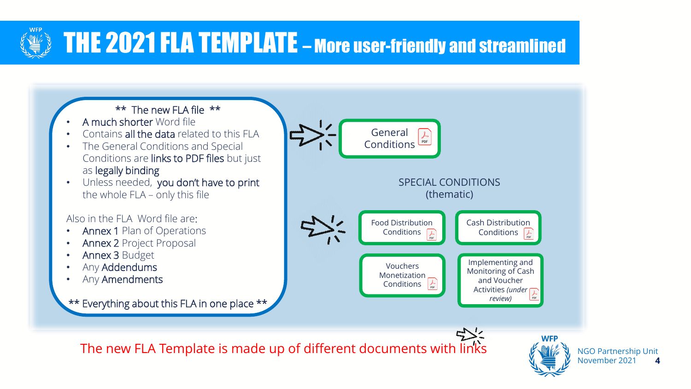

### THE 2021 FLA TEMPLATE – More user-friendly and streamlined



**4**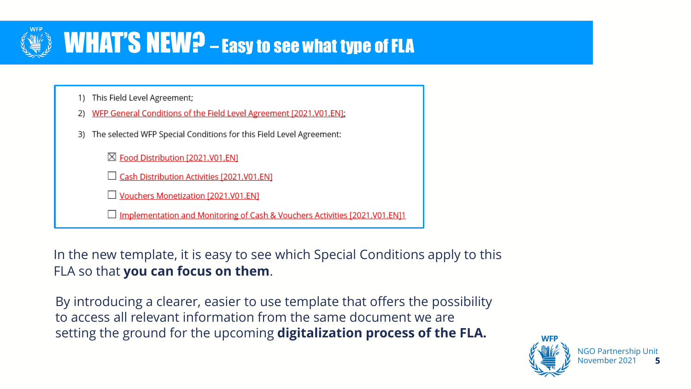

### WHAT'S NEW? - Easy to see what type of FLA

- 1) This Field Level Agreement;
- WFP General Conditions of the Field Level Agreement [2021.V01.EN];
- 3) The selected WFP Special Conditions for this Field Level Agreement:

⊠ Food Distribution [2021.V01.EN]

Cash Distribution Activities [2021.V01.EN]

Vouchers Monetization [2021.V01.EN]

Implementation and Monitoring of Cash & Vouchers Activities [2021.V01.EN]1

In the new template, it is easy to see which Special Conditions apply to this FLA so that **you can focus on them**.

By introducing a clearer, easier to use template that offers the possibility to access all relevant information from the same document we are setting the ground for the upcoming **digitalization process of the FLA.**



**5**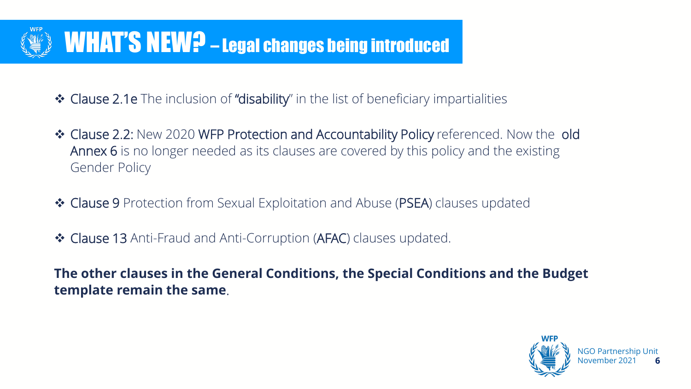

- ❖ Clause 2.1e The inclusion of "disability" in the list of beneficiary impartialities
- ❖ Clause 2.2: New 2020 WFP Protection and Accountability Policy referenced. Now the old Annex 6 is no longer needed as its clauses are covered by this policy and the existing Gender Policy
- ❖ Clause 9 Protection from Sexual Exploitation and Abuse (PSEA) clauses updated
- ❖ Clause 13 Anti-Fraud and Anti-Corruption (AFAC) clauses updated.

**The other clauses in the General Conditions, the Special Conditions and the Budget template remain the same**.

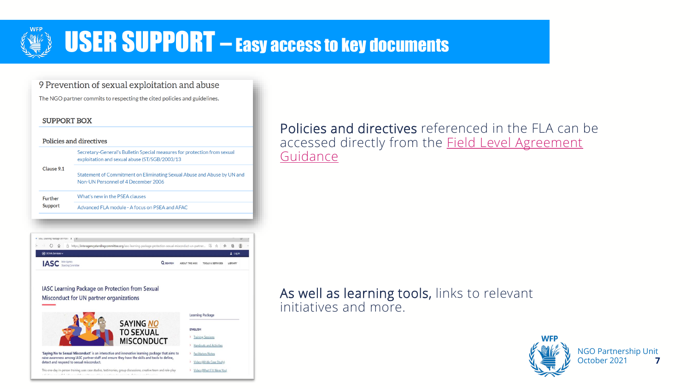

### **USER SUPPORT** – Easy access to key documents

9 Prevention of sexual exploitation and abuse

The NGO partner commits to respecting the cited policies and guidelines.

#### **SUPPORT BOX**

| Policies and directives |                                                                                                                            |
|-------------------------|----------------------------------------------------------------------------------------------------------------------------|
|                         | Secretary-General's Bulletin Special measures for protection from sexual<br>exploitation and sexual abuse (ST/SGB/2003/13) |
| Clause 9.1              | Statement of Commitment on Eliminating Sexual Abuse and Abuse by UN and<br>Non-UN Personnel of 4 December 2006             |
| <b>Further</b>          | What's new in the PSEA clauses                                                                                             |
| <b>Support</b>          | Advanced ELA module - A focus on PSEA and AEAC                                                                             |
|                         |                                                                                                                            |



IASC Learning Package on Protection from Sexual Misconduct for UN partner organizations



Policies and directives referenced in the FLA can be [accessed directly from the Field Level Agreement](https://ngoguidance.manuals.wfp.org/en/partnership-cycle-phase-ii-negotiating-the-field-level-agreement/the-field-level-agreemennt/)  **Guidance** 

#### As well as learning tools, links to relevant initiatives and more.



NGO Partnership Unit October 2021 **7**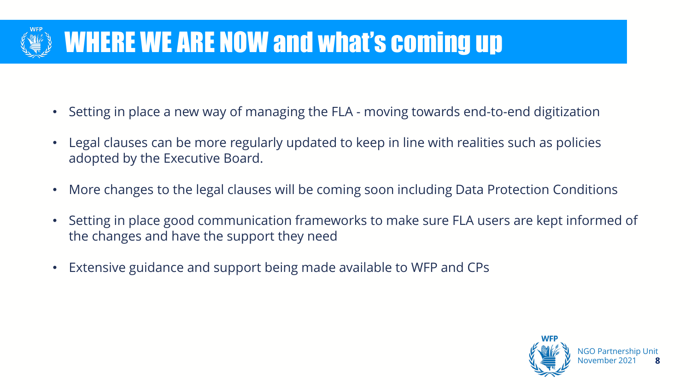

### WHERE WE ARE NOW and what's coming up

- Setting in place a new way of managing the FLA moving towards end-to-end digitization
- Legal clauses can be more regularly updated to keep in line with realities such as policies adopted by the Executive Board.
- More changes to the legal clauses will be coming soon including Data Protection Conditions
- Setting in place good communication frameworks to make sure FLA users are kept informed of the changes and have the support they need
- Extensive guidance and support being made available to WFP and CPs

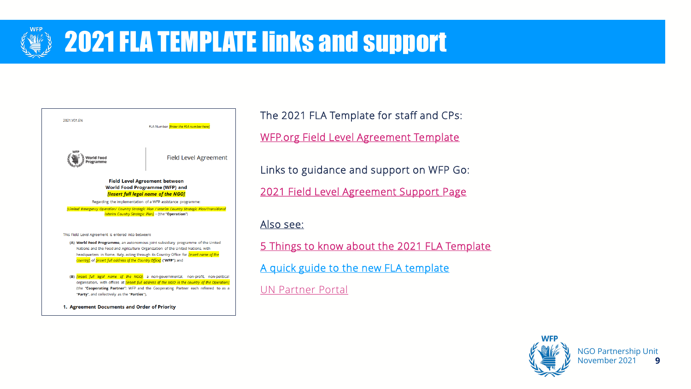

### **2021 FLA TEMPLATE links and support**



The 2021 FLA Template for staff and CPs: [WFP.org Field Level Agreement Template](https://www.wfp.org/field-level-agreement-fla-2021-v01)

Links to guidance and support on WFP Go:

[2021 Field Level Agreement Support Page](https://www.wfp.org/partnering-with-wfp-for-ngos)

#### [Also see:](https://docs.wfp.org/api/documents/WFP-0000132146/download/)

[5 Things to know about the 2021 FLA Template](https://docs.wfp.org/api/documents/WFP-0000123730/download/?_ga=2.190773803.1294832108.1637569084-1716845223.1631692660)

[A quick guide to the new FLA template](https://docs.wfp.org/api/documents/WFP-0000134232/download/)

[UN Partner Portal](https://unpartnerportalcso.zendesk.com/hc/en-us/articles/360061487154-Field-Level-Agreement-FLA-2021-V01)